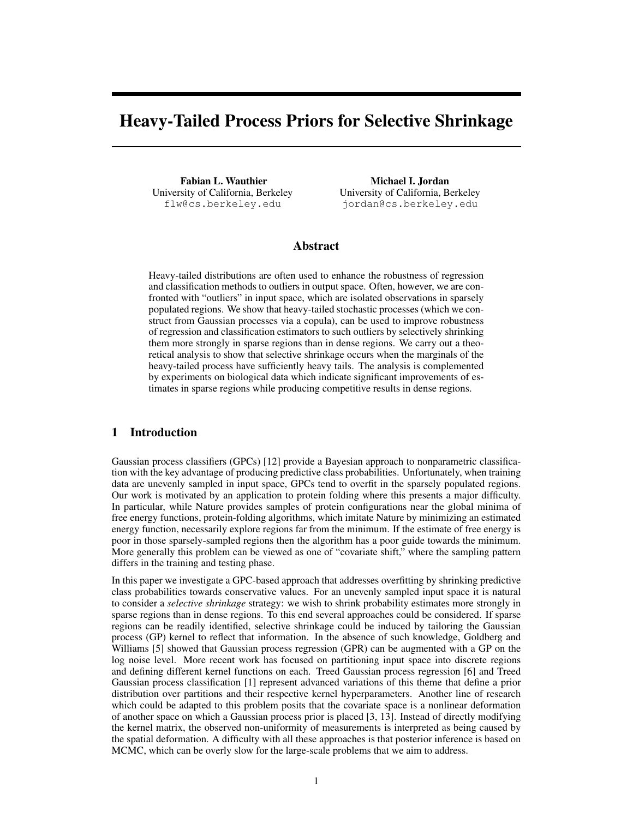# Heavy-Tailed Process Priors for Selective Shrinkage

Fabian L. Wauthier University of California, Berkeley flw@cs.berkeley.edu

Michael I. Jordan University of California, Berkeley jordan@cs.berkeley.edu

# Abstract

Heavy-tailed distributions are often used to enhance the robustness of regression and classification methods to outliers in output space. Often, however, we are confronted with "outliers" in input space, which are isolated observations in sparsely populated regions. We show that heavy-tailed stochastic processes (which we construct from Gaussian processes via a copula), can be used to improve robustness of regression and classification estimators to such outliers by selectively shrinking them more strongly in sparse regions than in dense regions. We carry out a theoretical analysis to show that selective shrinkage occurs when the marginals of the heavy-tailed process have sufficiently heavy tails. The analysis is complemented by experiments on biological data which indicate significant improvements of estimates in sparse regions while producing competitive results in dense regions.

## 1 Introduction

Gaussian process classifiers (GPCs) [12] provide a Bayesian approach to nonparametric classification with the key advantage of producing predictive class probabilities. Unfortunately, when training data are unevenly sampled in input space, GPCs tend to overfit in the sparsely populated regions. Our work is motivated by an application to protein folding where this presents a major difficulty. In particular, while Nature provides samples of protein configurations near the global minima of free energy functions, protein-folding algorithms, which imitate Nature by minimizing an estimated energy function, necessarily explore regions far from the minimum. If the estimate of free energy is poor in those sparsely-sampled regions then the algorithm has a poor guide towards the minimum. More generally this problem can be viewed as one of "covariate shift," where the sampling pattern differs in the training and testing phase.

In this paper we investigate a GPC-based approach that addresses overfitting by shrinking predictive class probabilities towards conservative values. For an unevenly sampled input space it is natural to consider a *selective shrinkage* strategy: we wish to shrink probability estimates more strongly in sparse regions than in dense regions. To this end several approaches could be considered. If sparse regions can be readily identified, selective shrinkage could be induced by tailoring the Gaussian process (GP) kernel to reflect that information. In the absence of such knowledge, Goldberg and Williams [5] showed that Gaussian process regression (GPR) can be augmented with a GP on the log noise level. More recent work has focused on partitioning input space into discrete regions and defining different kernel functions on each. Treed Gaussian process regression [6] and Treed Gaussian process classification [1] represent advanced variations of this theme that define a prior distribution over partitions and their respective kernel hyperparameters. Another line of research which could be adapted to this problem posits that the covariate space is a nonlinear deformation of another space on which a Gaussian process prior is placed [3, 13]. Instead of directly modifying the kernel matrix, the observed non-uniformity of measurements is interpreted as being caused by the spatial deformation. A difficulty with all these approaches is that posterior inference is based on MCMC, which can be overly slow for the large-scale problems that we aim to address.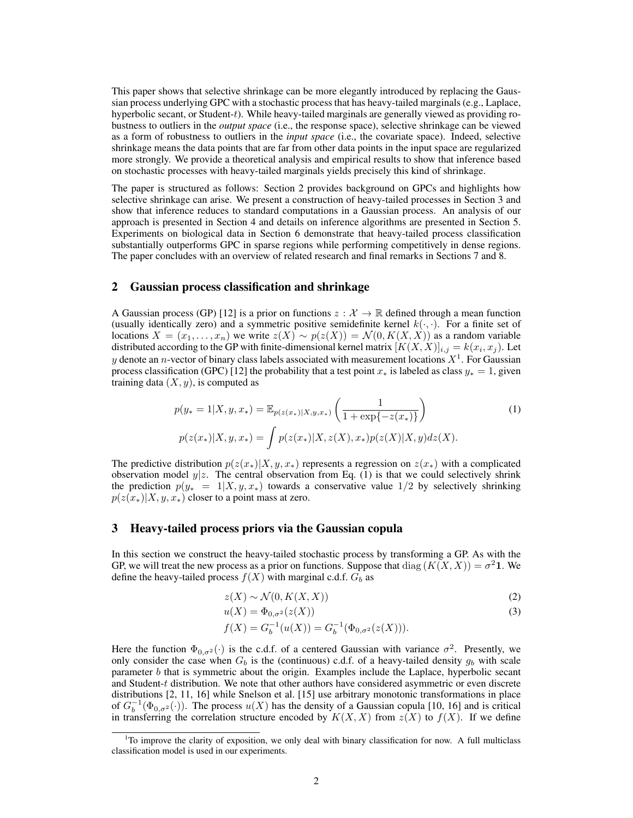This paper shows that selective shrinkage can be more elegantly introduced by replacing the Gaussian process underlying GPC with a stochastic process that has heavy-tailed marginals (e.g., Laplace, hyperbolic secant, or Student-t). While heavy-tailed marginals are generally viewed as providing robustness to outliers in the *output space* (i.e., the response space), selective shrinkage can be viewed as a form of robustness to outliers in the *input space* (i.e., the covariate space). Indeed, selective shrinkage means the data points that are far from other data points in the input space are regularized more strongly. We provide a theoretical analysis and empirical results to show that inference based on stochastic processes with heavy-tailed marginals yields precisely this kind of shrinkage.

The paper is structured as follows: Section 2 provides background on GPCs and highlights how selective shrinkage can arise. We present a construction of heavy-tailed processes in Section 3 and show that inference reduces to standard computations in a Gaussian process. An analysis of our approach is presented in Section 4 and details on inference algorithms are presented in Section 5. Experiments on biological data in Section 6 demonstrate that heavy-tailed process classification substantially outperforms GPC in sparse regions while performing competitively in dense regions. The paper concludes with an overview of related research and final remarks in Sections 7 and 8.

## 2 Gaussian process classification and shrinkage

A Gaussian process (GP) [12] is a prior on functions  $z : \mathcal{X} \to \mathbb{R}$  defined through a mean function (usually identically zero) and a symmetric positive semidefinite kernel  $k(\cdot, \cdot)$ . For a finite set of locations  $X = (x_1, \ldots, x_n)$  we write  $z(X) \sim p(z(X)) = \mathcal{N}(0, K(X, X))$  as a random variable distributed according to the GP with finite-dimensional kernel matrix  $[K(X, X)]_{i,j} = k(x_i, x_j)$ . Let y denote an n-vector of binary class labels associated with measurement locations  $X^1$ . For Gaussian process classification (GPC) [12] the probability that a test point  $x_*$  is labeled as class  $y_* = 1$ , given training data  $(X, y)$ , is computed as

$$
p(y_* = 1|X, y, x_*) = \mathbb{E}_{p(z(x_*)|X, y, x_*)} \left( \frac{1}{1 + \exp\{-z(x_*)\}} \right)
$$
(1)  

$$
p(z(x_*)|X, y, x_*) = \int p(z(x_*)|X, z(X), x_*) p(z(X)|X, y) dz(X).
$$

The predictive distribution  $p(z(x_*)|X, y, x_*)$  represents a regression on  $z(x_*)$  with a complicated observation model  $y|z$ . The central observation from Eq. (1) is that we could selectively shrink the prediction  $p(y^* = 1 | X, y, x^*)$  towards a conservative value  $1/2$  by selectively shrinking  $p(z(x<sub>*</sub>)|X, y, x<sub>*</sub>)$  closer to a point mass at zero.

### 3 Heavy-tailed process priors via the Gaussian copula

In this section we construct the heavy-tailed stochastic process by transforming a GP. As with the GP, we will treat the new process as a prior on functions. Suppose that  $\text{diag}(K(X,X)) = \sigma^2 \mathbf{1}$ . We define the heavy-tailed process  $f(X)$  with marginal c.d.f.  $G_b$  as

$$
z(X) \sim \mathcal{N}(0, K(X, X))
$$
\n<sup>(2)</sup>

$$
u(X) = \Phi_{0,\sigma^2}(z(X))\tag{3}
$$

$$
f(X) = G_b^{-1}(u(X)) = G_b^{-1}(\Phi_{0,\sigma^2}(z(X))).
$$

Here the function  $\Phi_{0,\sigma^2}(\cdot)$  is the c.d.f. of a centered Gaussian with variance  $\sigma^2$ . Presently, we only consider the case when  $G_b$  is the (continuous) c.d.f. of a heavy-tailed density  $g_b$  with scale parameter  $b$  that is symmetric about the origin. Examples include the Laplace, hyperbolic secant and Student-t distribution. We note that other authors have considered asymmetric or even discrete distributions [2, 11, 16] while Snelson et al. [15] use arbitrary monotonic transformations in place of  $G_b^{-1}(\Phi_{0,\sigma^2}(\cdot))$ . The process  $u(X)$  has the density of a Gaussian copula [10, 16] and is critical in transferring the correlation structure encoded by  $K(X, X)$  from  $z(X)$  to  $f(X)$ . If we define

 $1$ <sup>T</sup>O improve the clarity of exposition, we only deal with binary classification for now. A full multiclass classification model is used in our experiments.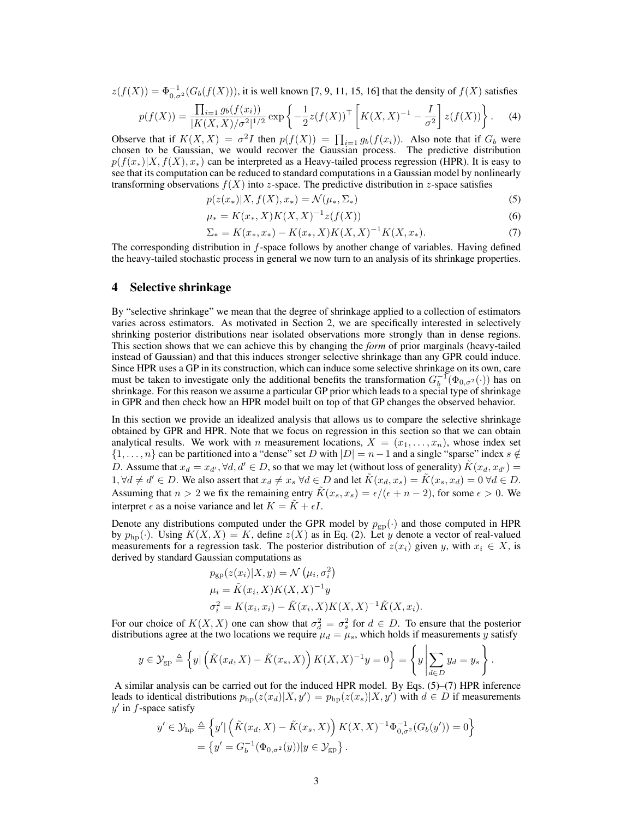$z(f(X)) = \Phi_{0,\sigma^2}^{-1}(G_b(f(X))),$  it is well known [7, 9, 11, 15, 16] that the density of  $f(X)$  satisfies

$$
p(f(X)) = \frac{\prod_{i=1} g_b(f(x_i))}{|K(X,X)/\sigma^2|^{1/2}} \exp\left\{-\frac{1}{2}z(f(X))^{\top} \left[K(X,X)^{-1} - \frac{I}{\sigma^2}\right]z(f(X))\right\}.
$$
 (4)

Observe that if  $K(X, X) = \sigma^2 I$  then  $p(f(X)) = \prod_{i=1} g_b(f(x_i))$ . Also note that if  $G_b$  were chosen to be Gaussian, we would recover the Gaussian process. The predictive distribution  $p(f(x<sub>*</sub>)|X, f(X), x<sub>*</sub>)$  can be interpreted as a Heavy-tailed process regression (HPR). It is easy to see that its computation can be reduced to standard computations in a Gaussian model by nonlinearly transforming observations  $f(X)$  into z-space. The predictive distribution in z-space satisfies

$$
p(z(x*)|X, f(X), x*) = \mathcal{N}(\mu_*, \Sigma_*)
$$
\n(5)

$$
\mu_* = K(x_*, X)K(X, X)^{-1}z(f(X))
$$
\n(6)

$$
\Sigma_* = K(x_*, x_*) - K(x_*, X)K(X, X)^{-1}K(X, x_*). \tag{7}
$$

The corresponding distribution in f-space follows by another change of variables. Having defined the heavy-tailed stochastic process in general we now turn to an analysis of its shrinkage properties.

#### 4 Selective shrinkage

By "selective shrinkage" we mean that the degree of shrinkage applied to a collection of estimators varies across estimators. As motivated in Section 2, we are specifically interested in selectively shrinking posterior distributions near isolated observations more strongly than in dense regions. This section shows that we can achieve this by changing the *form* of prior marginals (heavy-tailed instead of Gaussian) and that this induces stronger selective shrinkage than any GPR could induce. Since HPR uses a GP in its construction, which can induce some selective shrinkage on its own, care must be taken to investigate only the additional benefits the transformation  $G_b^{-1}(\Phi_{0,\sigma^2}(\cdot))$  has on shrinkage. For this reason we assume a particular GP prior which leads to a special type of shrinkage in GPR and then check how an HPR model built on top of that GP changes the observed behavior.

In this section we provide an idealized analysis that allows us to compare the selective shrinkage obtained by GPR and HPR. Note that we focus on regression in this section so that we can obtain analytical results. We work with n measurement locations,  $X = (x_1, \ldots, x_n)$ , whose index set  $\{1, \ldots, n\}$  can be partitioned into a "dense" set D with  $|D| = n - 1$  and a single "sparse" index  $s \notin$ D. Assume that  $x_d = x_{d'}, \forall d, d' \in D$ , so that we may let (without loss of generality)  $\tilde{K}(x_d, x_{d'}) =$  $1, \forall d \neq d' \in D$ . We also assert that  $x_d \neq x_s \ \forall d \in D$  and let  $\tilde{K}(x_d, x_s) = \tilde{K}(x_s, x_d) = 0 \ \forall d \in D$ . Assuming that  $n > 2$  we fix the remaining entry  $\tilde{K}(x_s, x_s) = \epsilon/(\epsilon + n - 2)$ , for some  $\epsilon > 0$ . We interpret  $\epsilon$  as a noise variance and let  $K = \tilde{K} + \epsilon I$ .

Denote any distributions computed under the GPR model by  $p_{gp}(\cdot)$  and those computed in HPR by  $p_{\text{hp}}(\cdot)$ . Using  $K(X, X) = K$ , define  $z(X)$  as in Eq. (2). Let y denote a vector of real-valued measurements for a regression task. The posterior distribution of  $z(x_i)$  given y, with  $x_i \in X$ , is derived by standard Gaussian computations as

$$
p_{gp}(z(x_i)|X, y) = \mathcal{N}(\mu_i, \sigma_i^2)
$$
  
\n
$$
\mu_i = \tilde{K}(x_i, X)K(X, X)^{-1}y
$$
  
\n
$$
\sigma_i^2 = K(x_i, x_i) - \tilde{K}(x_i, X)K(X, X)^{-1}\tilde{K}(X, x_i).
$$

For our choice of  $K(X, X)$  one can show that  $\sigma_d^2 = \sigma_s^2$  for  $d \in D$ . To ensure that the posterior distributions agree at the two locations we require  $\mu_d = \mu_s$ , which holds if measurements y satisfy

$$
y \in \mathcal{Y}_{gp} \triangleq \left\{ y | \left( \tilde{K}(x_d, X) - \tilde{K}(x_s, X) \right) K(X, X)^{-1} y = 0 \right\} = \left\{ y \left| \sum_{d \in D} y_d = y_s \right. \right\}.
$$

A similar analysis can be carried out for the induced HPR model. By Eqs. (5)–(7) HPR inference leads to identical distributions  $p_{\text{hp}}(z(x_d)|X, y') = p_{\text{hp}}(z(x_s)|X, y')$  with  $d \in D$  if measurements  $y'$  in  $f$ -space satisfy

$$
y' \in \mathcal{Y}_{hp} \triangleq \left\{ y' | \left( \tilde{K}(x_d, X) - \tilde{K}(x_s, X) \right) K(X, X)^{-1} \Phi_{0, \sigma^2}^{-1} (G_b(y')) = 0 \right\}
$$
  
= 
$$
\left\{ y' = G_b^{-1} (\Phi_{0, \sigma^2}(y)) | y \in \mathcal{Y}_{gp} \right\}.
$$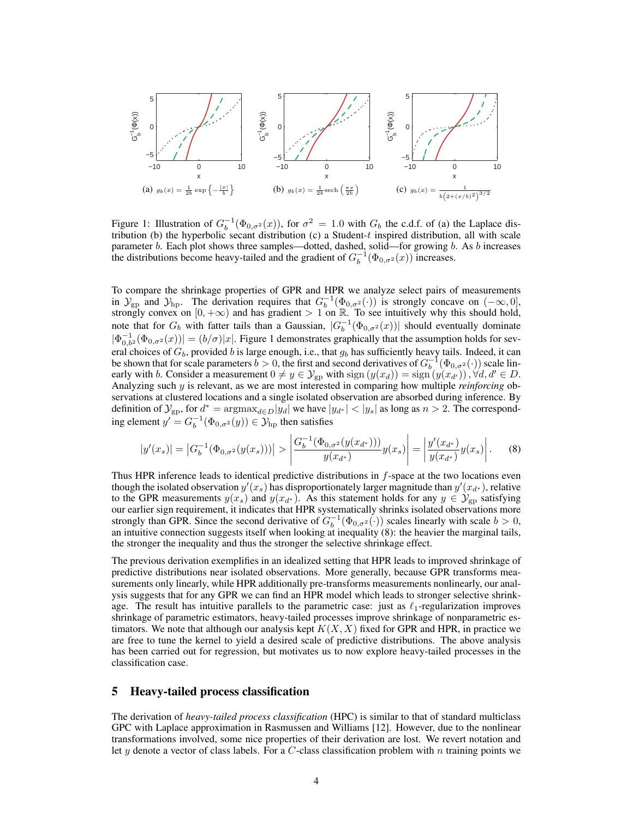

Figure 1: Illustration of  $G_b^{-1}(\Phi_{0,\sigma^2}(x))$ , for  $\sigma^2 = 1.0$  with  $G_b$  the c.d.f. of (a) the Laplace distribution (b) the hyperbolic secant distribution (c) a Student-t inspired distribution, all with scale parameter b. Each plot shows three samples—dotted, dashed, solid—for growing b. As b increases the distributions become heavy-tailed and the gradient of  $G_b^{-1}(\Phi_{0,\sigma^2}(x))$  increases.

To compare the shrinkage properties of GPR and HPR we analyze select pairs of measurements in  $\mathcal{Y}_{gp}$  and  $\mathcal{Y}_{hp}$ . The derivation requires that  $G_b^{-1}(\Phi_{0,\sigma^2}(\cdot))$  is strongly concave on  $(-\infty,0]$ , strongly convex on  $[0, +\infty)$  and has gradient  $> 1$  on  $\mathbb{R}$ . To see intuitively why this should hold, note that for  $G_b$  with fatter tails than a Gaussian,  $|G_b^{-1}(\Phi_{0,\sigma^2}(x))|$  should eventually dominate  $|\Phi_{0,b^2}^{-1}(\Phi_{0,\sigma^2}(x))| = (b/\sigma)|x|$ . Figure 1 demonstrates graphically that the assumption holds for several choices of  $G_b$ , provided b is large enough, i.e., that  $g_b$  has sufficiently heavy tails. Indeed, it can be shown that for scale parameters  $b > 0$ , the first and second derivatives of  $G_b^{-1}(\Phi_{0,\sigma^2}(\cdot))$  scale linearly with b. Consider a measurement  $0 \neq y \in \mathcal{Y}_{gp}$  with  $sign(y(x_d)) = sign(y(x_{d'}))$ ,  $\forall d, d' \in D$ . Analyzing such y is relevant, as we are most interested in comparing how multiple *reinforcing* observations at clustered locations and a single isolated observation are absorbed during inference. By definition of  $\mathcal{Y}_{gp}$ , for  $d^* = \text{argmax}_{d \in D} |y_d|$  we have  $|y_{d^*}| < |y_s|$  as long as  $n > 2$ . The corresponding element  $y' = G_b^{-1}(\Phi_{0,\sigma^2}(y)) \in \mathcal{Y}_{hp}$  then satisfies

$$
|y'(x_s)| = |G_b^{-1}(\Phi_{0,\sigma^2}(y(x_s)))| > \left| \frac{G_b^{-1}(\Phi_{0,\sigma^2}(y(x_{d^*})))}{y(x_{d^*})} y(x_s) \right| = \left| \frac{y'(x_{d^*})}{y(x_{d^*})} y(x_s) \right|.
$$
 (8)

Thus HPR inference leads to identical predictive distributions in f-space at the two locations even though the isolated observation  $y'(x_s)$  has disproportionately larger magnitude than  $y'(x_{d^*})$ , relative to the GPR measurements  $y(x_s)$  and  $y(x_{d^*})$ . As this statement holds for any  $y \in \mathcal{Y}_{gp}$  satisfying our earlier sign requirement, it indicates that HPR systematically shrinks isolated observations more strongly than GPR. Since the second derivative of  $G_b^{-1}(\Phi_{0,\sigma^2}(\cdot))$  scales linearly with scale  $b > 0$ , an intuitive connection suggests itself when looking at inequality (8): the heavier the marginal tails, the stronger the inequality and thus the stronger the selective shrinkage effect.

The previous derivation exemplifies in an idealized setting that HPR leads to improved shrinkage of predictive distributions near isolated observations. More generally, because GPR transforms measurements only linearly, while HPR additionally pre-transforms measurements nonlinearly, our analysis suggests that for any GPR we can find an HPR model which leads to stronger selective shrinkage. The result has intuitive parallels to the parametric case: just as  $\ell_1$ -regularization improves shrinkage of parametric estimators, heavy-tailed processes improve shrinkage of nonparametric estimators. We note that although our analysis kept  $K(X, X)$  fixed for GPR and HPR, in practice we are free to tune the kernel to yield a desired scale of predictive distributions. The above analysis has been carried out for regression, but motivates us to now explore heavy-tailed processes in the classification case.

#### 5 Heavy-tailed process classification

The derivation of *heavy-tailed process classification* (HPC) is similar to that of standard multiclass GPC with Laplace approximation in Rasmussen and Williams [12]. However, due to the nonlinear transformations involved, some nice properties of their derivation are lost. We revert notation and let y denote a vector of class labels. For a  $C$ -class classification problem with n training points we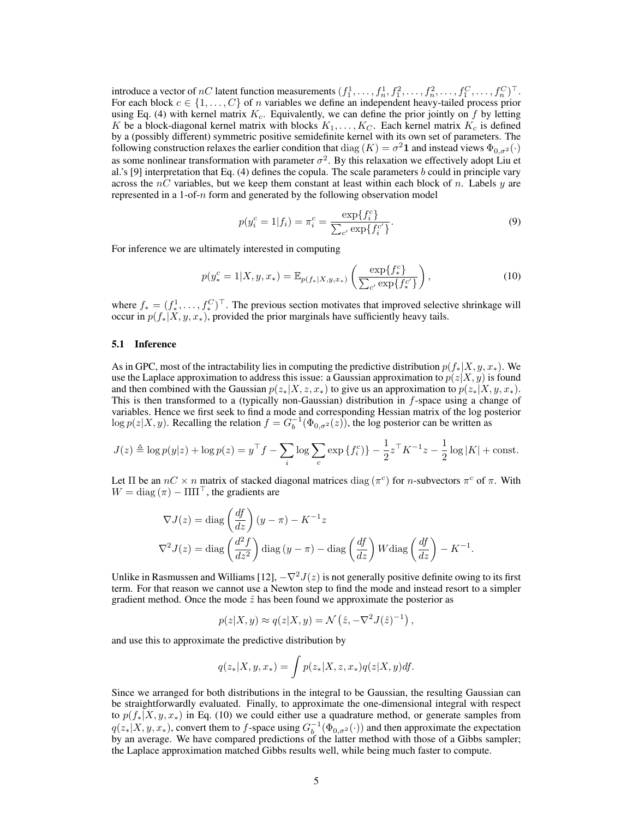introduce a vector of nC latent function measurements  $(f_1^1, \ldots, f_n^1, f_1^2, \ldots, f_n^2, \ldots, f_1^C, \ldots, f_n^C)^\top$ . For each block  $c \in \{1, \ldots, C\}$  of n variables we define an independent heavy-tailed process prior using Eq. (4) with kernel matrix  $K_c$ . Equivalently, we can define the prior jointly on f by letting K be a block-diagonal kernel matrix with blocks  $K_1, \ldots, K_C$ . Each kernel matrix  $K_c$  is defined by a (possibly different) symmetric positive semidefinite kernel with its own set of parameters. The following construction relaxes the earlier condition that  $\text{diag}(K) = \sigma^2 \mathbf{1}$  and instead views  $\Phi_{0,\sigma^2}(\cdot)$ as some nonlinear transformation with parameter  $\sigma^2$ . By this relaxation we effectively adopt Liu et al.'s [9] interpretation that Eq. (4) defines the copula. The scale parameters b could in principle vary across the  $nC$  variables, but we keep them constant at least within each block of n. Labels y are represented in a 1-of- $n$  form and generated by the following observation model

$$
p(y_i^c = 1 | f_i) = \pi_i^c = \frac{\exp\{f_i^c\}}{\sum_{c'} \exp\{f_{i'}^{c'}\}}.
$$
\n(9)

For inference we are ultimately interested in computing

$$
p(y_*^c = 1 | X, y, x_*) = \mathbb{E}_{p(f_*)X, y, x_*)} \left( \frac{\exp\{f_*^c\}}{\sum_{c'} \exp\{f_*^{c'}\}} \right),\tag{10}
$$

where  $f_* = (f_*^1, \ldots, f_*^C)^\top$ . The previous section motivates that improved selective shrinkage will occur in  $p(f_*|X, y, x_*)$ , provided the prior marginals have sufficiently heavy tails.

#### 5.1 Inference

As in GPC, most of the intractability lies in computing the predictive distribution  $p(f_*|X, y, x_*)$ . We use the Laplace approximation to address this issue: a Gaussian approximation to  $p(z|X, y)$  is found and then combined with the Gaussian  $p(z_*|X, z, x_*)$  to give us an approximation to  $p(z_*|X, y, x_*)$ . This is then transformed to a (typically non-Gaussian) distribution in  $f$ -space using a change of variables. Hence we first seek to find a mode and corresponding Hessian matrix of the log posterior  $\log p(z|X, y)$ . Recalling the relation  $f = G_b^{-1}(\Phi_{0,\sigma^2}(z))$ , the log posterior can be written as

$$
J(z) \triangleq \log p(y|z) + \log p(z) = y^{\top} f - \sum_{i} \log \sum_{c} \exp \{f_{i}^{c}\} - \frac{1}{2} z^{\top} K^{-1} z - \frac{1}{2} \log |K| + \text{const.}
$$

Let  $\Pi$  be an  $nC \times n$  matrix of stacked diagonal matrices  $\text{diag}(\pi^c)$  for *n*-subvectors  $\pi^c$  of  $\pi$ . With  $W = \text{diag}(\pi) - \Pi \Pi^{\top}$ , the gradients are

$$
\nabla J(z) = \text{diag}\left(\frac{df}{dz}\right)(y-\pi) - K^{-1}z
$$

$$
\nabla^2 J(z) = \text{diag}\left(\frac{d^2 f}{dz^2}\right)\text{diag}(y-\pi) - \text{diag}\left(\frac{df}{dz}\right)W\text{diag}\left(\frac{df}{dz}\right) - K^{-1}.
$$

Unlike in Rasmussen and Williams [12],  $-\nabla^2 J(z)$  is not generally positive definite owing to its first term. For that reason we cannot use a Newton step to find the mode and instead resort to a simpler gradient method. Once the mode  $\hat{z}$  has been found we approximate the posterior as

$$
p(z|X, y) \approx q(z|X, y) = \mathcal{N}(\hat{z}, -\nabla^2 J(\hat{z})^{-1}),
$$

and use this to approximate the predictive distribution by

$$
q(z_*|X, y, x_*) = \int p(z_*|X, z, x_*) q(z|X, y) df.
$$

Since we arranged for both distributions in the integral to be Gaussian, the resulting Gaussian can be straightforwardly evaluated. Finally, to approximate the one-dimensional integral with respect to  $p(f_*|X, y, x_*)$  in Eq. (10) we could either use a quadrature method, or generate samples from  $q(z_*|X, y, x_*)$ , convert them to f-space using  $G_b^{-1}(\Phi_{0,\sigma^2}(\cdot))$  and then approximate the expectation by an average. We have compared predictions of the latter method with those of a Gibbs sampler; the Laplace approximation matched Gibbs results well, while being much faster to compute.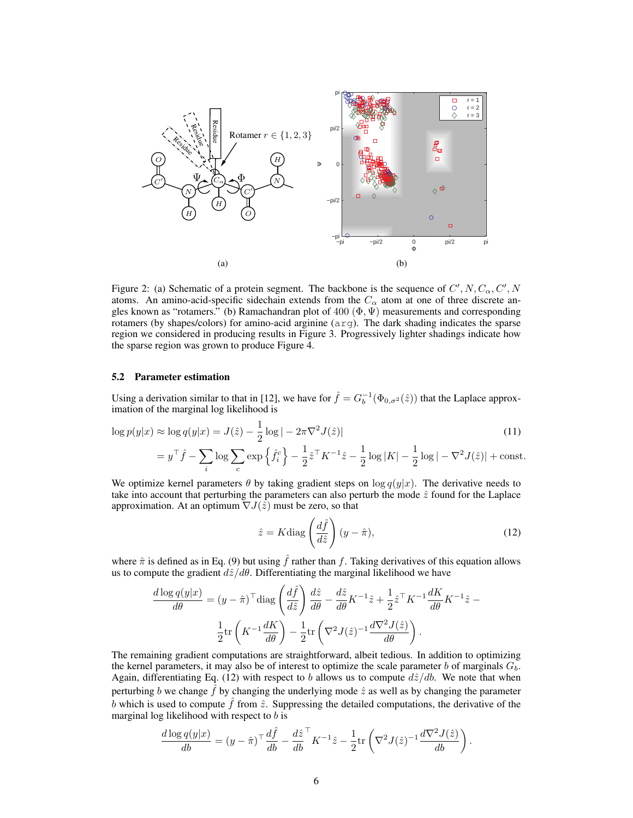

Figure 2: (a) Schematic of a protein segment. The backbone is the sequence of  $C', N, C_{\alpha}, C', N$ atoms. An amino-acid-specific sidechain extends from the  $C_{\alpha}$  atom at one of three discrete angles known as "rotamers." (b) Ramachandran plot of  $400 \ (\Phi, \Psi)$  measurements and corresponding rotamers (by shapes/colors) for amino-acid arginine (arg). The dark shading indicates the sparse region we considered in producing results in Figure 3. Progressively lighter shadings indicate how the sparse region was grown to produce Figure 4.

#### 5.2 Parameter estimation

Using a derivation similar to that in [12], we have for  $\hat{f} = G_b^{-1}(\Phi_{0,\sigma^2}(\hat{z}))$  that the Laplace approximation of the marginal log likelihood is

$$
\log p(y|x) \approx \log q(y|x) = J(\hat{z}) - \frac{1}{2}\log|-2\pi\nabla^2 J(\hat{z})|
$$
\n(11)

$$
=y^\top \hat f - \sum_i \log \sum_c \exp\left\{ \hat f_i^c \right\} - \frac{1}{2} \hat z^\top K^{-1} \hat z - \frac{1}{2} \log |K| - \frac{1}{2} \log |-\nabla^2 J(\hat z)| + \text{const.}
$$

We optimize kernel parameters  $\theta$  by taking gradient steps on  $\log q(y|x)$ . The derivative needs to take into account that perturbing the parameters can also perturb the mode  $\hat{z}$  found for the Laplace approximation. At an optimum  $\nabla J(\hat{z})$  must be zero, so that

$$
\hat{z} = K \text{diag}\left(\frac{d\hat{f}}{d\hat{z}}\right)(y - \hat{\pi}),\tag{12}
$$

where  $\hat{\pi}$  is defined as in Eq. (9) but using  $\hat{f}$  rather than f. Taking derivatives of this equation allows us to compute the gradient  $d\hat{z}/d\theta$ . Differentiating the marginal likelihood we have

$$
\frac{d \log q(y|x)}{d \theta} = (y - \hat{\pi})^\top \text{diag}\left(\frac{d\hat{f}}{d\hat{z}}\right) \frac{d\hat{z}}{d\theta} - \frac{d\hat{z}}{d\theta} K^{-1} \hat{z} + \frac{1}{2} \hat{z}^\top K^{-1} \frac{dK}{d\theta} K^{-1} \hat{z} - \frac{1}{2} \text{tr}\left(K^{-1} \frac{dK}{d\theta}\right) - \frac{1}{2} \text{tr}\left(\nabla^2 J(\hat{z})^{-1} \frac{d\nabla^2 J(\hat{z})}{d\theta}\right).
$$

The remaining gradient computations are straightforward, albeit tedious. In addition to optimizing the kernel parameters, it may also be of interest to optimize the scale parameter b of marginals  $G_b$ . Again, differentiating Eq. (12) with respect to b allows us to compute  $d\hat{z}/db$ . We note that when perturbing b we change  $\hat{f}$  by changing the underlying mode  $\hat{z}$  as well as by changing the parameter b which is used to compute  $\hat{f}$  from  $\hat{z}$ . Suppressing the detailed computations, the derivative of the marginal log likelihood with respect to  $b$  is

$$
\frac{d \log q(y|x)}{db} = (y - \hat{\pi})^{\top} \frac{d\hat{f}}{db} - \frac{d\hat{z}}{db}^{\top} K^{-1} \hat{z} - \frac{1}{2} \text{tr} \left( \nabla^2 J(\hat{z})^{-1} \frac{d \nabla^2 J(\hat{z})}{db} \right).
$$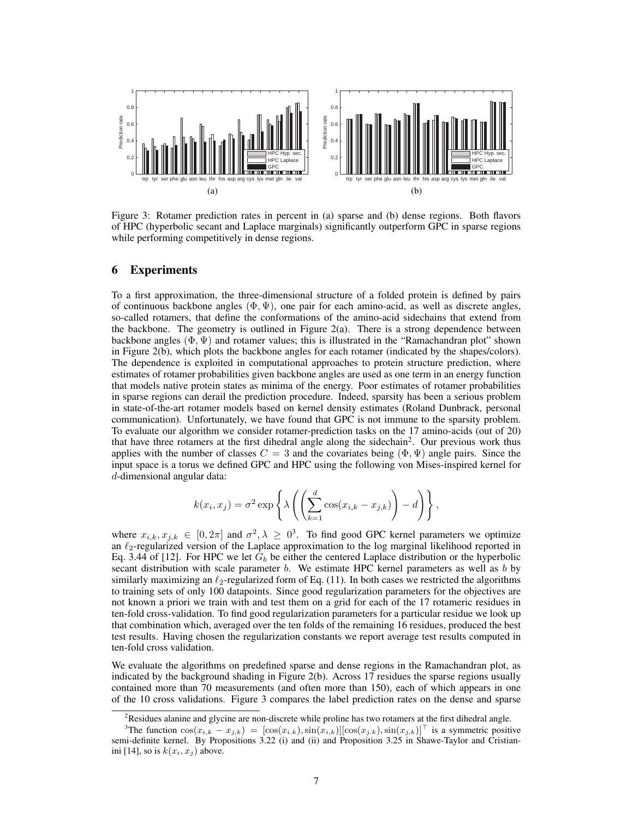

Figure 3: Rotamer prediction rates in percent in (a) sparse and (b) dense regions. Both flavors of HPC (hyperbolic secant and Laplace marginals) significantly outperform GPC in sparse regions while performing competitively in dense regions.

## 6 Experiments

To a first approximation, the three-dimensional structure of a folded protein is defined by pairs of continuous backbone angles  $(\Phi, \Psi)$ , one pair for each amino-acid, as well as discrete angles, so-called rotamers, that define the conformations of the amino-acid sidechains that extend from the backbone. The geometry is outlined in Figure 2(a). There is a strong dependence between backbone angles  $(\Phi, \Psi)$  and rotamer values; this is illustrated in the "Ramachandran plot" shown in Figure 2(b), which plots the backbone angles for each rotamer (indicated by the shapes/colors). The dependence is exploited in computational approaches to protein structure prediction, where estimates of rotamer probabilities given backbone angles are used as one term in an energy function that models native protein states as minima of the energy. Poor estimates of rotamer probabilities in sparse regions can derail the prediction procedure. Indeed, sparsity has been a serious problem in state-of-the-art rotamer models based on kernel density estimates (Roland Dunbrack, personal communication). Unfortunately, we have found that GPC is not immune to the sparsity problem. To evaluate our algorithm we consider rotamer-prediction tasks on the 17 amino-acids (out of 20) that have three rotamers at the first dihedral angle along the sidechain<sup>2</sup>. Our previous work thus applies with the number of classes  $C = 3$  and the covariates being  $(\Phi, \Psi)$  angle pairs. Since the input space is a torus we defined GPC and HPC using the following von Mises-inspired kernel for d-dimensional angular data:

$$
k(x_i, x_j) = \sigma^2 \exp \left\{ \lambda \left( \left( \sum_{k=1}^d \cos(x_{i,k} - x_{j,k}) \right) - d \right) \right\},\,
$$

where  $x_{i,k}, x_{j,k} \in [0, 2\pi]$  and  $\sigma^2, \lambda \geq 0^3$ . To find good GPC kernel parameters we optimize an  $\ell_2$ -regularized version of the Laplace approximation to the log marginal likelihood reported in Eq. 3.44 of [12]. For HPC we let  $G_b$  be either the centered Laplace distribution or the hyperbolic secant distribution with scale parameter  $b$ . We estimate HPC kernel parameters as well as  $b$  by similarly maximizing an  $\ell_2$ -regularized form of Eq. (11). In both cases we restricted the algorithms to training sets of only 100 datapoints. Since good regularization parameters for the objectives are not known a priori we train with and test them on a grid for each of the 17 rotameric residues in ten-fold cross-validation. To find good regularization parameters for a particular residue we look up that combination which, averaged over the ten folds of the remaining 16 residues, produced the best test results. Having chosen the regularization constants we report average test results computed in ten-fold cross validation.

We evaluate the algorithms on predefined sparse and dense regions in the Ramachandran plot, as indicated by the background shading in Figure 2(b). Across 17 residues the sparse regions usually contained more than 70 measurements (and often more than 150), each of which appears in one of the 10 cross validations. Figure 3 compares the label prediction rates on the dense and sparse

<sup>&</sup>lt;sup>2</sup>Residues alanine and glycine are non-discrete while proline has two rotamers at the first dihedral angle.

<sup>&</sup>lt;sup>3</sup>The function  $\cos(x_{i,k} - x_{j,k}) = [\cos(x_{i,k}), \sin(x_{i,k})][\cos(x_{j,k}), \sin(x_{j,k})]^\top$  is a symmetric positive semi-definite kernel. By Propositions 3.22 (i) and (ii) and Proposition 3.25 in Shawe-Taylor and Cristianini [14], so is  $k(x_i, x_j)$  above.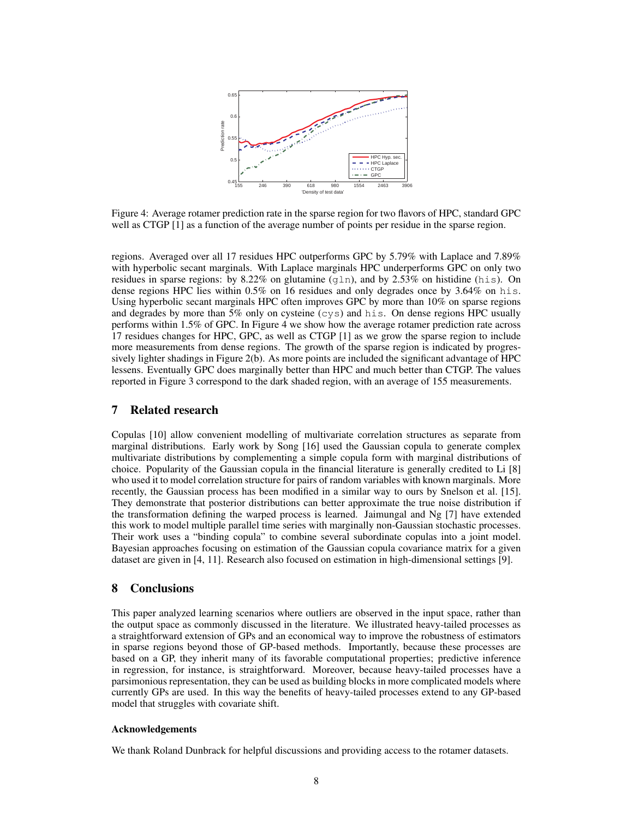

Figure 4: Average rotamer prediction rate in the sparse region for two flavors of HPC, standard GPC well as CTGP [1] as a function of the average number of points per residue in the sparse region.

regions. Averaged over all 17 residues HPC outperforms GPC by 5.79% with Laplace and 7.89% with hyperbolic secant marginals. With Laplace marginals HPC underperforms GPC on only two residues in sparse regions: by 8.22% on glutamine (q1n), and by 2.53% on histidine (his). On dense regions HPC lies within 0.5% on 16 residues and only degrades once by 3.64% on his. Using hyperbolic secant marginals HPC often improves GPC by more than 10% on sparse regions and degrades by more than 5% only on cysteine (cys) and his. On dense regions HPC usually performs within 1.5% of GPC. In Figure 4 we show how the average rotamer prediction rate across 17 residues changes for HPC, GPC, as well as CTGP [1] as we grow the sparse region to include more measurements from dense regions. The growth of the sparse region is indicated by progressively lighter shadings in Figure 2(b). As more points are included the significant advantage of HPC lessens. Eventually GPC does marginally better than HPC and much better than CTGP. The values reported in Figure 3 correspond to the dark shaded region, with an average of 155 measurements.

## 7 Related research

Copulas [10] allow convenient modelling of multivariate correlation structures as separate from marginal distributions. Early work by Song [16] used the Gaussian copula to generate complex multivariate distributions by complementing a simple copula form with marginal distributions of choice. Popularity of the Gaussian copula in the financial literature is generally credited to Li [8] who used it to model correlation structure for pairs of random variables with known marginals. More recently, the Gaussian process has been modified in a similar way to ours by Snelson et al. [15]. They demonstrate that posterior distributions can better approximate the true noise distribution if the transformation defining the warped process is learned. Jaimungal and Ng [7] have extended this work to model multiple parallel time series with marginally non-Gaussian stochastic processes. Their work uses a "binding copula" to combine several subordinate copulas into a joint model. Bayesian approaches focusing on estimation of the Gaussian copula covariance matrix for a given dataset are given in [4, 11]. Research also focused on estimation in high-dimensional settings [9].

## 8 Conclusions

This paper analyzed learning scenarios where outliers are observed in the input space, rather than the output space as commonly discussed in the literature. We illustrated heavy-tailed processes as a straightforward extension of GPs and an economical way to improve the robustness of estimators in sparse regions beyond those of GP-based methods. Importantly, because these processes are based on a GP, they inherit many of its favorable computational properties; predictive inference in regression, for instance, is straightforward. Moreover, because heavy-tailed processes have a parsimonious representation, they can be used as building blocks in more complicated models where currently GPs are used. In this way the benefits of heavy-tailed processes extend to any GP-based model that struggles with covariate shift.

#### Acknowledgements

We thank Roland Dunbrack for helpful discussions and providing access to the rotamer datasets.